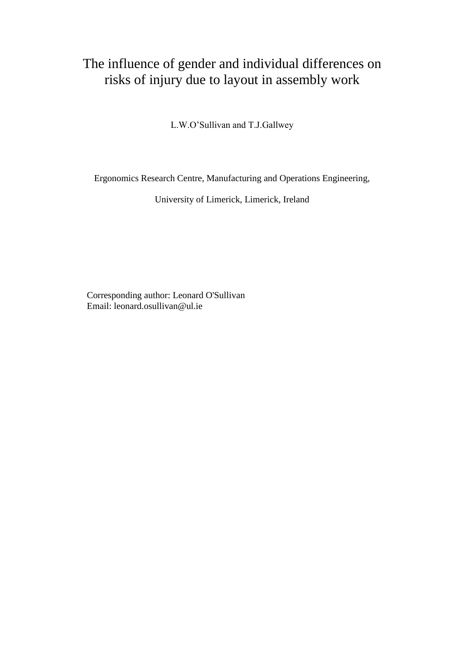# The influence of gender and individual differences on risks of injury due to layout in assembly work

L.W.O'Sullivan and T.J.Gallwey

Ergonomics Research Centre, Manufacturing and Operations Engineering,

University of Limerick, Limerick, Ireland

Corresponding author: Leonard O'Sullivan Email: leonard.osullivan@ul.ie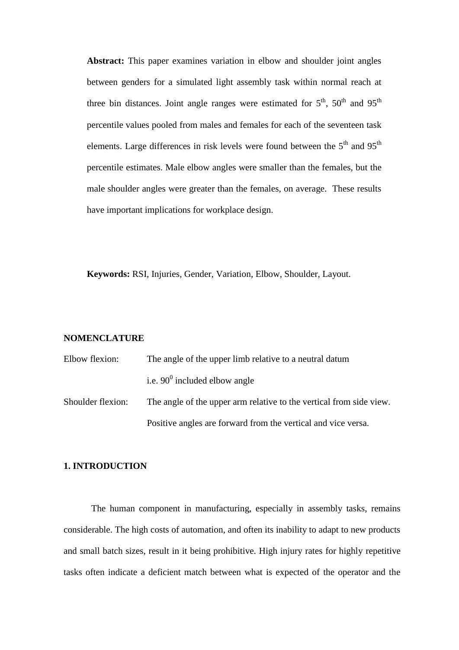**Abstract:** This paper examines variation in elbow and shoulder joint angles between genders for a simulated light assembly task within normal reach at three bin distances. Joint angle ranges were estimated for  $5<sup>th</sup>$ ,  $50<sup>th</sup>$  and  $95<sup>th</sup>$ percentile values pooled from males and females for each of the seventeen task elements. Large differences in risk levels were found between the 5<sup>th</sup> and 95<sup>th</sup> percentile estimates. Male elbow angles were smaller than the females, but the male shoulder angles were greater than the females, on average. These results have important implications for workplace design.

**Keywords:** RSI, Injuries, Gender, Variation, Elbow, Shoulder, Layout.

## **NOMENCLATURE**

| Elbow flexion:    | The angle of the upper limb relative to a neutral datum             |  |  |  |
|-------------------|---------------------------------------------------------------------|--|--|--|
|                   | i.e. $90^0$ included elbow angle                                    |  |  |  |
| Shoulder flexion: | The angle of the upper arm relative to the vertical from side view. |  |  |  |
|                   | Positive angles are forward from the vertical and vice versa.       |  |  |  |

## **1. INTRODUCTION**

The human component in manufacturing, especially in assembly tasks, remains considerable. The high costs of automation, and often its inability to adapt to new products and small batch sizes, result in it being prohibitive. High injury rates for highly repetitive tasks often indicate a deficient match between what is expected of the operator and the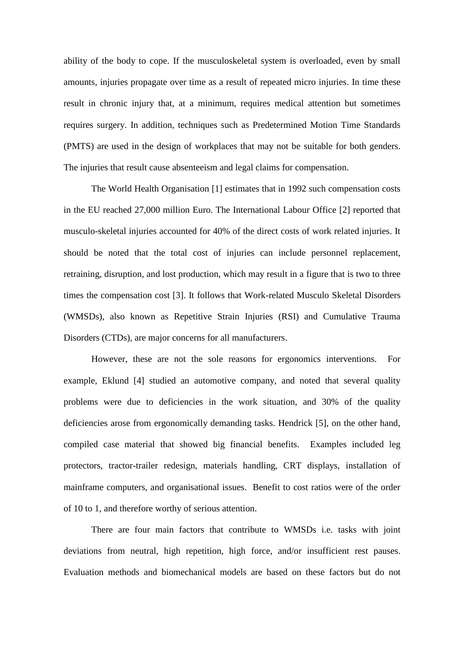ability of the body to cope. If the musculoskeletal system is overloaded, even by small amounts, injuries propagate over time as a result of repeated micro injuries. In time these result in chronic injury that, at a minimum, requires medical attention but sometimes requires surgery. In addition, techniques such as Predetermined Motion Time Standards (PMTS) are used in the design of workplaces that may not be suitable for both genders. The injuries that result cause absenteeism and legal claims for compensation.

The World Health Organisation [1] estimates that in 1992 such compensation costs in the EU reached 27,000 million Euro. The International Labour Office [2] reported that musculo-skeletal injuries accounted for 40% of the direct costs of work related injuries. It should be noted that the total cost of injuries can include personnel replacement, retraining, disruption, and lost production, which may result in a figure that is two to three times the compensation cost [3]. It follows that Work-related Musculo Skeletal Disorders (WMSDs), also known as Repetitive Strain Injuries (RSI) and Cumulative Trauma Disorders (CTDs), are major concerns for all manufacturers.

However, these are not the sole reasons for ergonomics interventions. For example, Eklund [4] studied an automotive company, and noted that several quality problems were due to deficiencies in the work situation, and 30% of the quality deficiencies arose from ergonomically demanding tasks. Hendrick [5], on the other hand, compiled case material that showed big financial benefits. Examples included leg protectors, tractor-trailer redesign, materials handling, CRT displays, installation of mainframe computers, and organisational issues. Benefit to cost ratios were of the order of 10 to 1, and therefore worthy of serious attention.

There are four main factors that contribute to WMSDs i.e. tasks with joint deviations from neutral, high repetition, high force, and/or insufficient rest pauses. Evaluation methods and biomechanical models are based on these factors but do not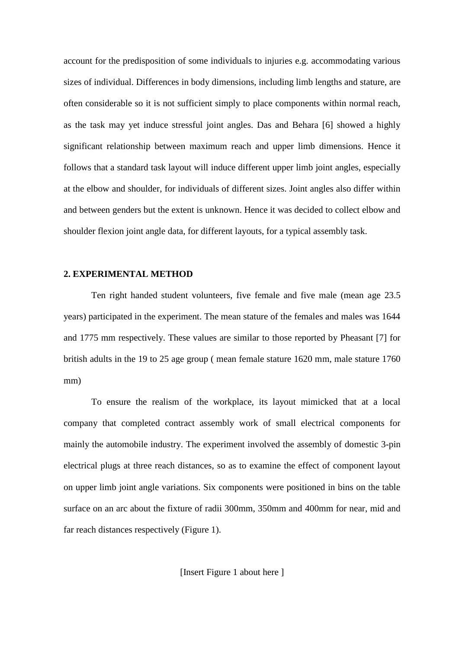account for the predisposition of some individuals to injuries e.g. accommodating various sizes of individual. Differences in body dimensions, including limb lengths and stature, are often considerable so it is not sufficient simply to place components within normal reach, as the task may yet induce stressful joint angles. Das and Behara [6] showed a highly significant relationship between maximum reach and upper limb dimensions. Hence it follows that a standard task layout will induce different upper limb joint angles, especially at the elbow and shoulder, for individuals of different sizes. Joint angles also differ within and between genders but the extent is unknown. Hence it was decided to collect elbow and shoulder flexion joint angle data, for different layouts, for a typical assembly task.

## **2. EXPERIMENTAL METHOD**

Ten right handed student volunteers, five female and five male (mean age 23.5 years) participated in the experiment. The mean stature of the females and males was 1644 and 1775 mm respectively. These values are similar to those reported by Pheasant [7] for british adults in the 19 to 25 age group ( mean female stature 1620 mm, male stature 1760 mm)

To ensure the realism of the workplace, its layout mimicked that at a local company that completed contract assembly work of small electrical components for mainly the automobile industry. The experiment involved the assembly of domestic 3-pin electrical plugs at three reach distances, so as to examine the effect of component layout on upper limb joint angle variations. Six components were positioned in bins on the table surface on an arc about the fixture of radii 300mm, 350mm and 400mm for near, mid and far reach distances respectively (Figure 1).

[Insert Figure 1 about here ]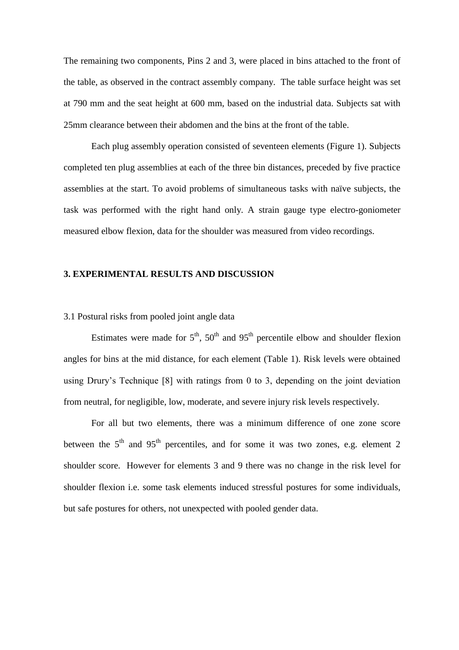The remaining two components, Pins 2 and 3, were placed in bins attached to the front of the table, as observed in the contract assembly company. The table surface height was set at 790 mm and the seat height at 600 mm, based on the industrial data. Subjects sat with 25mm clearance between their abdomen and the bins at the front of the table.

Each plug assembly operation consisted of seventeen elements (Figure 1). Subjects completed ten plug assemblies at each of the three bin distances, preceded by five practice assemblies at the start. To avoid problems of simultaneous tasks with naïve subjects, the task was performed with the right hand only. A strain gauge type electro-goniometer measured elbow flexion, data for the shoulder was measured from video recordings.

## **3. EXPERIMENTAL RESULTS AND DISCUSSION**

3.1 Postural risks from pooled joint angle data

Estimates were made for  $5<sup>th</sup>$ ,  $50<sup>th</sup>$  and  $95<sup>th</sup>$  percentile elbow and shoulder flexion angles for bins at the mid distance, for each element (Table 1). Risk levels were obtained using Drury's Technique [8] with ratings from 0 to 3, depending on the joint deviation from neutral, for negligible, low, moderate, and severe injury risk levels respectively.

For all but two elements, there was a minimum difference of one zone score between the  $5<sup>th</sup>$  and  $95<sup>th</sup>$  percentiles, and for some it was two zones, e.g. element 2 shoulder score. However for elements 3 and 9 there was no change in the risk level for shoulder flexion i.e. some task elements induced stressful postures for some individuals, but safe postures for others, not unexpected with pooled gender data.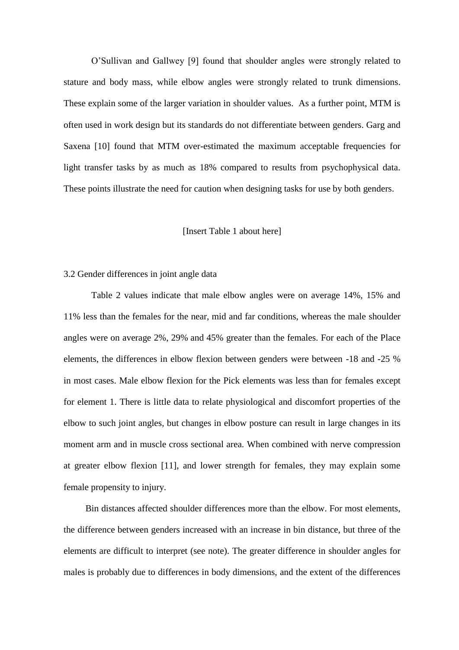O'Sullivan and Gallwey [9] found that shoulder angles were strongly related to stature and body mass, while elbow angles were strongly related to trunk dimensions. These explain some of the larger variation in shoulder values. As a further point, MTM is often used in work design but its standards do not differentiate between genders. Garg and Saxena [10] found that MTM over-estimated the maximum acceptable frequencies for light transfer tasks by as much as 18% compared to results from psychophysical data. These points illustrate the need for caution when designing tasks for use by both genders.

#### [Insert Table 1 about here]

## 3.2 Gender differences in joint angle data

Table 2 values indicate that male elbow angles were on average 14%, 15% and 11% less than the females for the near, mid and far conditions, whereas the male shoulder angles were on average 2%, 29% and 45% greater than the females. For each of the Place elements, the differences in elbow flexion between genders were between -18 and -25 % in most cases. Male elbow flexion for the Pick elements was less than for females except for element 1. There is little data to relate physiological and discomfort properties of the elbow to such joint angles, but changes in elbow posture can result in large changes in its moment arm and in muscle cross sectional area. When combined with nerve compression at greater elbow flexion [11], and lower strength for females, they may explain some female propensity to injury.

Bin distances affected shoulder differences more than the elbow. For most elements, the difference between genders increased with an increase in bin distance, but three of the elements are difficult to interpret (see note). The greater difference in shoulder angles for males is probably due to differences in body dimensions, and the extent of the differences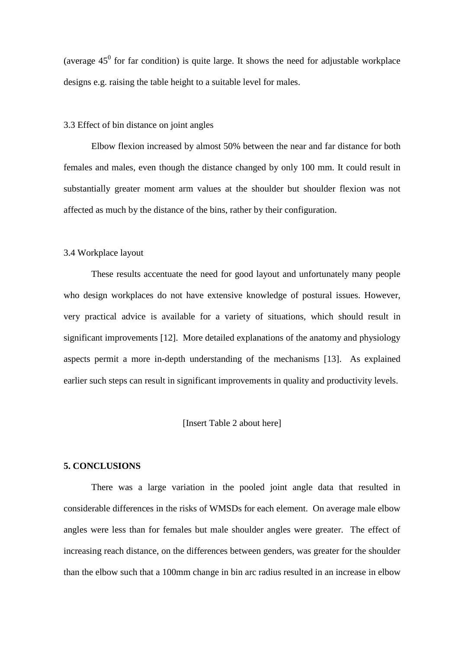(average  $45^{\circ}$  for far condition) is quite large. It shows the need for adjustable workplace designs e.g. raising the table height to a suitable level for males.

#### 3.3 Effect of bin distance on joint angles

Elbow flexion increased by almost 50% between the near and far distance for both females and males, even though the distance changed by only 100 mm. It could result in substantially greater moment arm values at the shoulder but shoulder flexion was not affected as much by the distance of the bins, rather by their configuration.

#### 3.4 Workplace layout

These results accentuate the need for good layout and unfortunately many people who design workplaces do not have extensive knowledge of postural issues. However, very practical advice is available for a variety of situations, which should result in significant improvements [12]. More detailed explanations of the anatomy and physiology aspects permit a more in-depth understanding of the mechanisms [13]. As explained earlier such steps can result in significant improvements in quality and productivity levels.

## [Insert Table 2 about here]

#### **5. CONCLUSIONS**

There was a large variation in the pooled joint angle data that resulted in considerable differences in the risks of WMSDs for each element. On average male elbow angles were less than for females but male shoulder angles were greater. The effect of increasing reach distance, on the differences between genders, was greater for the shoulder than the elbow such that a 100mm change in bin arc radius resulted in an increase in elbow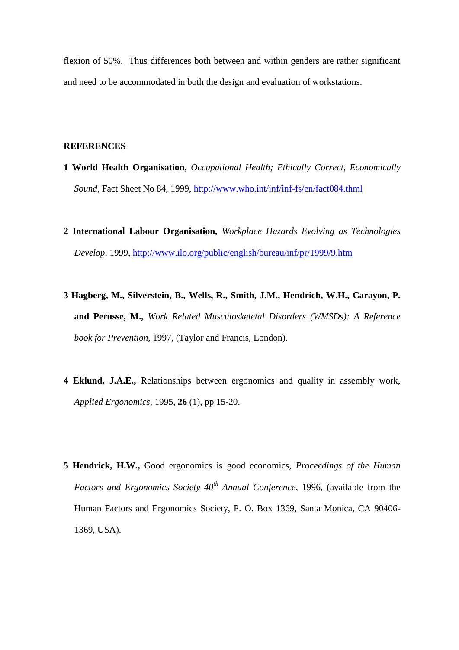flexion of 50%. Thus differences both between and within genders are rather significant and need to be accommodated in both the design and evaluation of workstations.

#### **REFERENCES**

- **1 World Health Organisation,** *Occupational Health; Ethically Correct, Economically Sound*, Fact Sheet No 84, 1999,<http://www.who.int/inf/inf-fs/en/fact084.thml>
- **2 International Labour Organisation,** *Workplace Hazards Evolving as Technologies Develop*, 1999,<http://www.ilo.org/public/english/bureau/inf/pr/1999/9.htm>
- **3 Hagberg, M., Silverstein, B., Wells, R., Smith, J.M., Hendrich, W.H., Carayon, P. and Perusse, M.,** *Work Related Musculoskeletal Disorders (WMSDs): A Reference book for Prevention,* 1997, (Taylor and Francis, London).
- **4 Eklund, J.A.E.,** Relationships between ergonomics and quality in assembly work, *Applied Ergonomics*, 1995, **26** (1), pp 15-20.
- **5 Hendrick, H.W.,** Good ergonomics is good economics, *Proceedings of the Human Factors and Ergonomics Society 40th Annual Conference*, 1996, (available from the Human Factors and Ergonomics Society, P. O. Box 1369, Santa Monica, CA 90406- 1369, USA).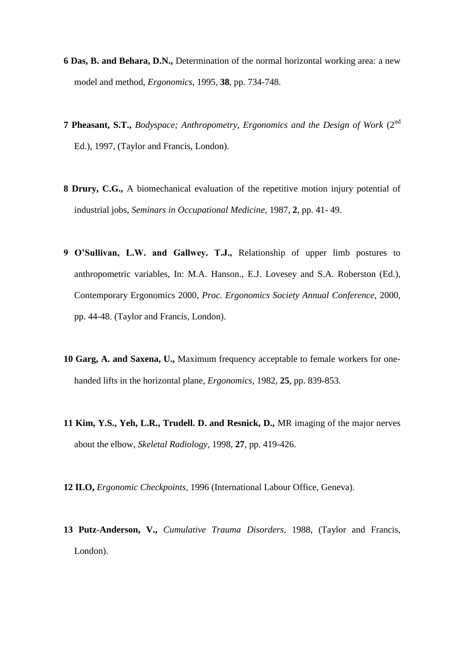- **6 Das, B. and Behara, D.N.,** Determination of the normal horizontal working area: a new model and method, *Ergonomics*, 1995, **38**, pp. 734-748.
- **7 Pheasant, S.T.,** *Bodyspace; Anthropometry, Ergonomics and the Design of Work* (2nd Ed.), 1997, (Taylor and Francis, London).
- **8 Drury, C.G.,** A biomechanical evaluation of the repetitive motion injury potential of industrial jobs, *Seminars in Occupational Medicine*, 1987, **2**, pp. 41- 49.
- **9 O'Sullivan, L.W. and Gallwey. T.J.,** Relationship of upper limb postures to anthropometric variables, In: M.A. Hanson., E.J. Lovesey and S.A. Roberston (Ed.), Contemporary Ergonomics 2000, *Proc. Ergonomics Society Annual Conference*, 2000, pp. 44-48. (Taylor and Francis, London).
- **10 Garg, A. and Saxena, U.,** Maximum frequency acceptable to female workers for onehanded lifts in the horizontal plane, *Ergonomics*, 1982, **25**, pp. 839-853.
- **11 Kim, Y.S., Yeh, L.R., Trudell. D. and Resnick, D.,** MR imaging of the major nerves about the elbow, *Skeletal Radiology*, 1998, **27**, pp. 419-426.
- **12 ILO,** *Ergonomic Checkpoints*, 1996 (International Labour Office, Geneva).
- **13 Putz-Anderson, V.,** *Cumulative Trauma Disorders,* 1988, (Taylor and Francis, London).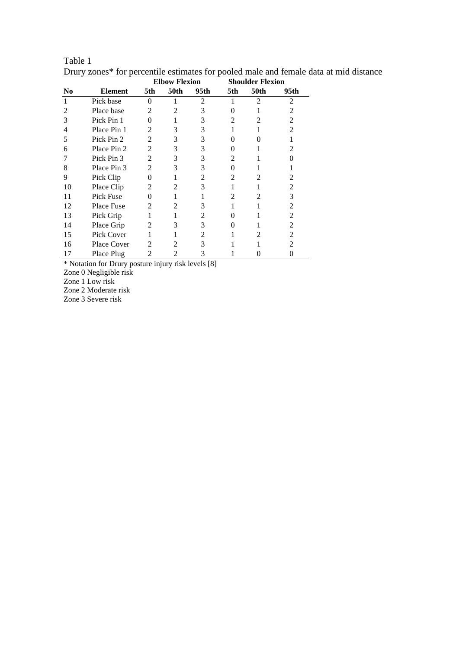|                |                    |                | <b>Elbow Flexion</b> |      | <b>Shoulder Flexion</b>     |              |      |
|----------------|--------------------|----------------|----------------------|------|-----------------------------|--------------|------|
| N <sub>0</sub> | <b>Element</b>     | 5th            | 50th                 | 95th | 5th                         | 50th         | 95th |
| 1              | Pick base          | 0              |                      | 2    |                             | 2            | 2    |
| 2              | Place base         | $\mathfrak{D}$ | 2                    | 3    | $\mathbf{\Omega}$           |              | 2    |
| 3              | Pick Pin 1         | 0              |                      | 3    | 2                           | 2            | 2    |
| 4              | Place Pin 1        | 2              | 3                    | 3    | 1                           |              | 2    |
| 5              | Pick Pin 2         | $\mathfrak{D}$ | 3                    | 3    | 0                           | $\mathbf{0}$ |      |
| 6              | Place Pin 2        | $\mathfrak{D}$ | 3                    | 3    | $\Omega$                    |              | 2    |
|                | Pick Pin 3         | $\mathfrak{D}$ | 3                    | 3    | $\mathcal{D}_{\mathcal{L}}$ |              | 0    |
| 8              | Place Pin 3        | $\mathfrak{D}$ | 3                    | 3    | 0                           |              |      |
| 9              | Pick Clip          | 0              |                      | 2    | $\mathfrak{D}$              | 2            | 2    |
| 10             | Place Clip         | 2              | 2                    | 3    |                             |              | 2    |
| 11             | Pick Fuse          | 0              |                      | 1    | 2                           | 2            | 3    |
| 12             | <b>Place Fuse</b>  | $\mathfrak{D}$ | 2                    | 3    |                             |              | 2    |
| 13             | Pick Grip          | 1              |                      | 2    | $\Omega$                    |              | 2    |
| 14             | Place Grip         | 2              | 3                    | 3    | $\Omega$                    |              | 2    |
| 15             | Pick Cover         |                |                      | 2    |                             | 2            | 2    |
| 16             | <b>Place Cover</b> | $\mathfrak{D}$ | $\mathfrak{D}$       | 3    |                             |              | 2    |
| 17             | Place Plug         | $\mathfrak{D}$ | $\mathfrak{D}$       | 3    |                             |              | 0    |

Table 1 Drury zones\* for percentile estimates for pooled male and female data at mid distance

\* Notation for Drury posture injury risk levels [8]

Zone 0 Negligible risk

Zone 1 Low risk

Zone 2 Moderate risk

Zone 3 Severe risk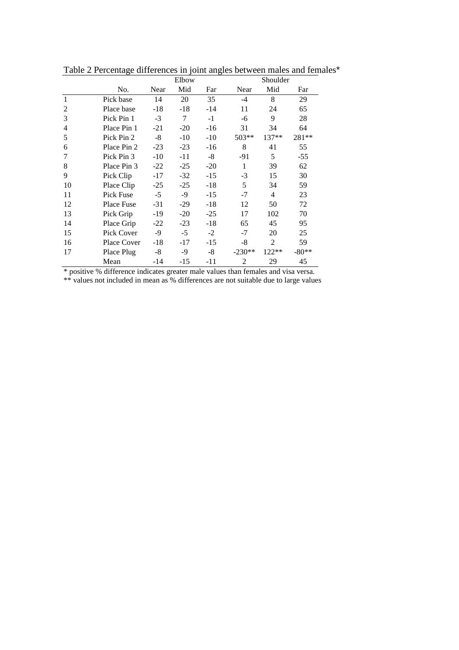|    |             | Elbow |       |       | Shoulder       |                |         |  |
|----|-------------|-------|-------|-------|----------------|----------------|---------|--|
|    | No.         | Near  | Mid   | Far   | Near           | Mid            | Far     |  |
| 1  | Pick base   | 14    | 20    | 35    | $-4$           | 8              | 29      |  |
| 2  | Place base  | $-18$ | $-18$ | $-14$ | 11             | 24             | 65      |  |
| 3  | Pick Pin 1  | $-3$  | 7     | $-1$  | -6             | 9              | 28      |  |
| 4  | Place Pin 1 | $-21$ | $-20$ | $-16$ | 31             | 34             | 64      |  |
| 5  | Pick Pin 2  | $-8$  | $-10$ | $-10$ | $503**$        | $137**$        | 281**   |  |
| 6  | Place Pin 2 | $-23$ | $-23$ | $-16$ | 8              | 41             | 55      |  |
| 7  | Pick Pin 3  | $-10$ | $-11$ | -8    | $-91$          | 5              | $-55$   |  |
| 8  | Place Pin 3 | $-22$ | $-25$ | $-20$ | 1              | 39             | 62      |  |
| 9  | Pick Clip   | $-17$ | $-32$ | $-15$ | $-3$           | 15             | 30      |  |
| 10 | Place Clip  | $-25$ | $-25$ | $-18$ | 5              | 34             | 59      |  |
| 11 | Pick Fuse   | $-5$  | -9    | $-15$ | $-7$           | 4              | 23      |  |
| 12 | Place Fuse  | $-31$ | $-29$ | $-18$ | 12             | 50             | 72      |  |
| 13 | Pick Grip   | $-19$ | $-20$ | $-25$ | 17             | 102            | 70      |  |
| 14 | Place Grip  | $-22$ | $-23$ | $-18$ | 65             | 45             | 95      |  |
| 15 | Pick Cover  | $-9$  | $-5$  | $-2$  | $-7$           | 20             | 25      |  |
| 16 | Place Cover | $-18$ | $-17$ | $-15$ | $-8$           | $\overline{2}$ | 59      |  |
| 17 | Place Plug  | $-8$  | -9    | -8    | $-230**$       | 122**          | $-80**$ |  |
|    | Mean        | -14   | $-15$ | -11   | $\overline{2}$ | 29             | 45      |  |

Table 2 Percentage differences in joint angles between males and females\*

\* positive % difference indicates greater male values than females and visa versa.

\*\* values not included in mean as % differences are not suitable due to large values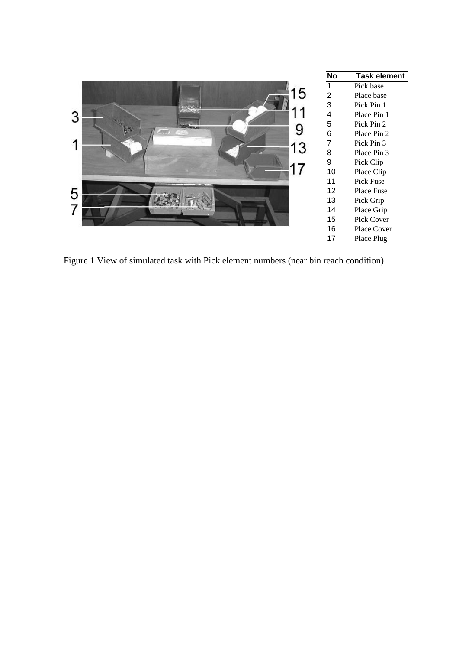|         | <b>No</b>       | <b>Task element</b> |
|---------|-----------------|---------------------|
|         |                 | Pick base           |
| l b     | $\overline{2}$  | Place base          |
|         | 3               | Pick Pin 1          |
| 3       | 4               | Place Pin 1         |
|         | 5               | Pick Pin 2          |
|         | $6\phantom{1}6$ | Place Pin 2         |
| ٠<br>13 | 7               | Pick Pin 3          |
|         | 8               | Place Pin 3         |
|         | 9               | Pick Clip           |
|         | 10              | Place Clip          |
|         | 11              | Pick Fuse           |
| 5       | 12 <sup>2</sup> | Place Fuse          |
|         | 13              | Pick Grip           |
|         | 14              | Place Grip          |
|         | 15              | Pick Cover          |
|         | 16              | <b>Place Cover</b>  |
|         | 17              | Place Plug          |
|         |                 |                     |

Figure 1 View of simulated task with Pick element numbers (near bin reach condition)